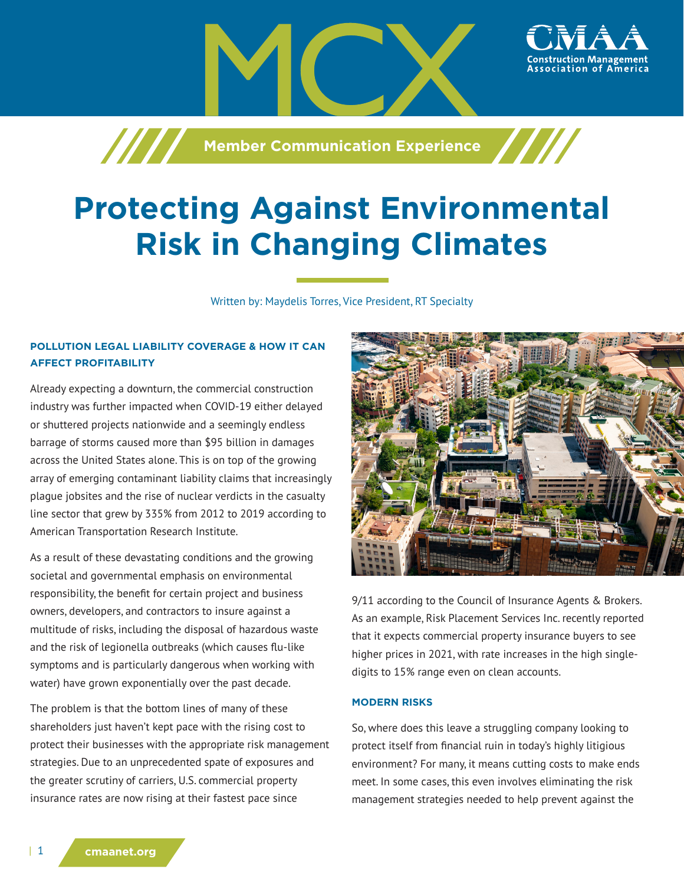

# **Protecting Against Environmental Risk in Changing Climates**

Written by: Maydelis Torres, Vice President, RT Specialty

# **POLLUTION LEGAL LIABILITY COVERAGE & HOW IT CAN AFFECT PROFITABILITY**

Already expecting a downturn, the commercial construction industry was further impacted when COVID-19 either delayed or shuttered projects nationwide and a seemingly endless barrage of storms caused more than \$95 billion in damages across the United States alone. This is on top of the growing array of emerging contaminant liability claims that increasingly plague jobsites and the rise of nuclear verdicts in the casualty line sector that grew by 335% from 2012 to 2019 according to American Transportation Research Institute.

As a result of these devastating conditions and the growing societal and governmental emphasis on environmental responsibility, the benefit for certain project and business owners, developers, and contractors to insure against a multitude of risks, including the disposal of hazardous waste and the risk of legionella outbreaks (which causes flu-like symptoms and is particularly dangerous when working with water) have grown exponentially over the past decade.

The problem is that the bottom lines of many of these shareholders just haven't kept pace with the rising cost to protect their businesses with the appropriate risk management strategies. Due to an unprecedented spate of exposures and the greater scrutiny of carriers, U.S. commercial property insurance rates are now rising at their fastest pace since



ssociation of

9/11 according to the Council of Insurance Agents & Brokers. As an example, Risk Placement Services Inc. recently reported that it expects commercial property insurance buyers to see higher prices in 2021, with rate increases in the high singledigits to 15% range even on clean accounts.

## **MODERN RISKS**

So, where does this leave a struggling company looking to protect itself from financial ruin in today's highly litigious environment? For many, it means cutting costs to make ends meet. In some cases, this even involves eliminating the risk management strategies needed to help prevent against the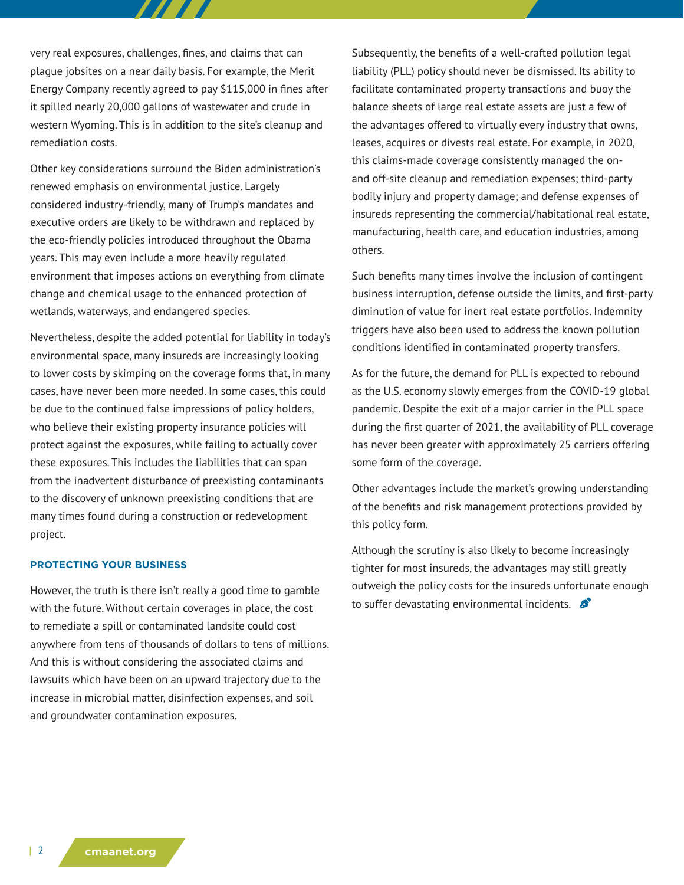very real exposures, challenges, fines, and claims that can plague jobsites on a near daily basis. For example, the Merit Energy Company recently agreed to pay \$115,000 in fines after it spilled nearly 20,000 gallons of wastewater and crude in western Wyoming. This is in addition to the site's cleanup and remediation costs.

 $\boldsymbol{H}$ 

Other key considerations surround the Biden administration's renewed emphasis on environmental justice. Largely considered industry-friendly, many of Trump's mandates and executive orders are likely to be withdrawn and replaced by the eco-friendly policies introduced throughout the Obama years. This may even include a more heavily regulated environment that imposes actions on everything from climate change and chemical usage to the enhanced protection of wetlands, waterways, and endangered species.

Nevertheless, despite the added potential for liability in today's environmental space, many insureds are increasingly looking to lower costs by skimping on the coverage forms that, in many cases, have never been more needed. In some cases, this could be due to the continued false impressions of policy holders, who believe their existing property insurance policies will protect against the exposures, while failing to actually cover these exposures. This includes the liabilities that can span from the inadvertent disturbance of preexisting contaminants to the discovery of unknown preexisting conditions that are many times found during a construction or redevelopment project.

#### **PROTECTING YOUR BUSINESS**

However, the truth is there isn't really a good time to gamble with the future. Without certain coverages in place, the cost to remediate a spill or contaminated landsite could cost anywhere from tens of thousands of dollars to tens of millions. And this is without considering the associated claims and lawsuits which have been on an upward trajectory due to the increase in microbial matter, disinfection expenses, and soil and groundwater contamination exposures.

Subsequently, the benefits of a well-crafted pollution legal liability (PLL) policy should never be dismissed. Its ability to facilitate contaminated property transactions and buoy the balance sheets of large real estate assets are just a few of the advantages offered to virtually every industry that owns, leases, acquires or divests real estate. For example, in 2020, this claims-made coverage consistently managed the onand off-site cleanup and remediation expenses; third-party bodily injury and property damage; and defense expenses of insureds representing the commercial/habitational real estate, manufacturing, health care, and education industries, among others.

Such benefits many times involve the inclusion of contingent business interruption, defense outside the limits, and first-party diminution of value for inert real estate portfolios. Indemnity triggers have also been used to address the known pollution conditions identified in contaminated property transfers.

As for the future, the demand for PLL is expected to rebound as the U.S. economy slowly emerges from the COVID-19 global pandemic. Despite the exit of a major carrier in the PLL space during the first quarter of 2021, the availability of PLL coverage has never been greater with approximately 25 carriers offering some form of the coverage.

Other advantages include the market's growing understanding of the benefits and risk management protections provided by this policy form.

Although the scrutiny is also likely to become increasingly tighter for most insureds, the advantages may still greatly outweigh the policy costs for the insureds unfortunate enough to suffer devastating environmental incidents.  $\mathcal{L}$